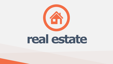

# **real estate**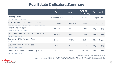# **Real Estate Indicators Summary**

### Housing Starts

Year-Over-Year Change; YTD

### Total Monthly Value of Building Permits

Seasonally Adjusted; Thousands; Year-Over-Year % Change

### Major Calgary Projects

Billions; Year-Over-Year Change

### Benchmark Detached Calgary House Price

Year-Over-Year Change

### Downtown Office Vacancy Rate

Year-Over-Year Change

### Suburban Office Vacancy Rate

Year-Over-Year Change

### Industrial Real Estate Availability Rate

Year-Over-Year Change



| Date             | Value     | Change/<br>Rate (%) | Geography              |
|------------------|-----------|---------------------|------------------------|
| December 2021    | 15,017    | 62.6%               | <b>Calgary CMA</b>     |
| <b>June 2021</b> | \$535,181 | 73.8%               | <b>Calgary CMA</b>     |
| <b>July 2021</b> | \$21.2    | $-10.0\%$           | <b>City of Calgary</b> |
| <b>July 2021</b> | \$492,000 | 2.93%               | <b>City of Calgary</b> |
| Q4 2021          | 33.2%     | 12.5%               | City of Calgary        |
| Q4 2021          | 25.9%     | 13.1%               | <b>City of Calgary</b> |
| Q4 2021          | $5.4\%$   | $-41.3%$            | City of Calgary        |

*\* Seasonally adjusted, 3 month moving average*



*Sources: City of Calgary Corporate Economics, Statistics Canada, Conference Board of Canada, CMHC, CBRE Limited, Calgary Real Estate Board, Alberta Enterprise and Advanced Education, Alberta Major Projects*

### $\bullet\bullet\bullet$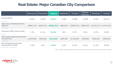

# **Real Estate: Major Canadian City Comparison**

|                                                                                                | Vancouver Edmonton |           | <b>Calgary</b>          | Saskatoon  | Toronto      | Ottawa-<br>Gatineau | Montréal             | Canada    |
|------------------------------------------------------------------------------------------------|--------------------|-----------|-------------------------|------------|--------------|---------------------|----------------------|-----------|
| <b>Housing Starts</b><br>2021 Annual                                                           | 26,013             | 12,546    | 15,017                  | 2,640      | 41,898       | 13,280              | 32,343               | 224,271   |
| <b>Total Value of Building Permits</b><br>(Billions)<br>2021 Annual                            | \$9963.15 B        |           | \$4493.97 B \$6885.36 B | \$883.89 B | \$24009.44 B | \$5096.85 B         | \$13100.31 B ####### |           |
| Downtown Office Vacancy Rate<br>Q4 2021                                                        | $7.2\%$            | 21.1%     | 33.2%                   | N/A        | $9.7\%$      | 9.9%                | 13.7%                | 15.8%     |
| <b>MLS Single Detached Benchmark</b><br><b>Housing Price</b><br>December 2021                  | \$1,944,900        | \$404,300 | \$512,300               | \$365,200  | \$1,449,200  | \$768,500           | \$599,100            | \$896,600 |
| <b>MLS Composite Benchmark</b><br><b>Housing Price Growth</b><br>December 2020 - December 2021 | 17.3%              | $4.0\%$   | 9.6%                    | 6.5%       | 31.0%        | 16.2%               | 21.3%                | 26.6%     |



 $\bullet\bullet\bullet$ 

*Source: Canada Mortgage and Housing Corporation, Canadian Real Estate Association, CBRE Limited, Statistics Canada*

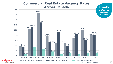## **Commercial Real Estate Vacancy Rates Across Canada**



*Source: CBRE Limited, Q4 2021*





**High quality space available to lease for low rates**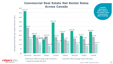

Average Rental Rate (per square foot per year) Average Rental Rate (per square foot per year)

**calgary** economic development be part of the energy

■ Industrial Average Net Rent



## **Commercial Real Estate Net Rental Rates Across Canada**

*Source: CBRE Limited, Q4 2021*



**Lowest downtown office Class A net rental rates compared to other markets**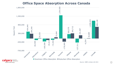

be part of the energy

## **Office Space Absorption Across Canada**

*Source: CBRE Limited, Q4 2021*

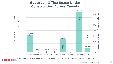

be part of the energy

# **Suburban Office Space Under Construction Across Canada**

*Source: CBRE Limited, Q4 2021*

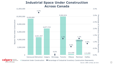



**MAN** economic cal be part of the energy

# **Industrial Space Under Construction Across Canada**

*Source: CBRE Limited, Q4 2021*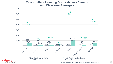

**Igary** developme cal development be part of the energy

### **Year-to-Date Housing Starts Across Canada and Five-Year Averages**

2022 YTD

*Source: Canada Mortgage and Housing Corporation, January 2022*

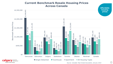



### **Current Benchmark Resale Housing Prices Across Canada**

*Source: Canadian Real Estate Association, January 2022*





**Affordable housing prices**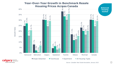



# ■ Single Detached ■ Townhouse ■ Apartment ■ All Housing Types

# **100USING PTICES ACCROSS Canada<br>**  $\frac{3}{12}$ **<br>**  $\frac{3}{2}$ **<br>**  $\frac{3}{2}$ **<br>**  $\frac{3}{2}$ **<br>**  $\frac{3}{2}$ **<br>**  $\frac{3}{2}$ **<br>**  $\frac{3}{2}$ **<br>**  $\frac{3}{2}$ **<br>**  $\frac{3}{2}$ **<br>**  $\frac{3}{2}$ **<br>**  $\frac{3}{2}$ **<br>**  $\frac{3}{2}$ **<br>**  $\frac{3}{2}$ **<br>**  $\frac{3}{2}$ **<br>**  $\frac{3}{2}$ **<br>**  $\frac{3}{2}$ **<br>**  $\frac{3}{2}$ **<br>** Added the National Calgary Saskatoon Toronto Ottawa Montreal Canada Growth Rate of Alexandra Canada Growth Rate of Alexandra Canada Growth Rate of Alexandra Canada Growth Rate of Alexandra Canada Canada Canada Canada Cana **Year-Over-Year Growth in Benchmark Resale Housing Prices Across Canada Balanced housing market**

*Source: Canadian Real Estate Association, January 2022*



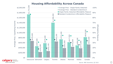

Qualifying Price Average

 $\blacksquare$  economic development be part of the energy



*Source: RBC Economics, Q3 2021*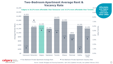



### **Two-Bedroom Apartment Average Rent & Vacancy Rate**

*Source: Canada Mortgage and Housing Corporation, April 2022 (Updated Annually, last updated February 2022)*

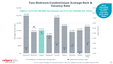





■Two-Bedroom Condominium Average Rent ● Condominium Vacancy Rate

\$3,000

## **Two-Bedroom Condominium Average Rent & Vacancy Rate**

\$2,370 \$1,818 \$1,420 \$1,530 \$1,771 1.7% 0.8% 1.4% 0.0% 1.8% 0.0% 1.0% 2.0% 3.0% 4.0% 5.0% 6.0% 7.0% 8.0% 9.0% Vancouver Edmonton Calgary Saskatoon Toronto Ottawa Montreal Halifax Canada  $\frac{62}{150}$ <br>  $\frac{62}{1500}$ <br>  $\frac{62}{1500}$ <br>  $\frac{62}{1500}$ <br>  $\frac{62}{1500}$ <br>  $\frac{62}{1500}$ <br>  $\frac{62}{1500}$ <br>  $\frac{62}{1500}$ <br>  $\frac{1.7\%}{1.96}$ <br>  $\frac{1.7\%}{1.4\%}$ <br>  $\frac{1.7\%}{1.4\%}$ <br>  $\frac{1.4\%}{1.0\%}$ <br>  $\frac{1.8\%}{1.0\%}$ <br>  $\frac{1.8\$ **Calgary is 22.4% more affordable than Vancouver and 35.7% more affordable than Toronto. affordable and higher vacancy rates than most other CMAs**

*Source: Canada Mortgage and Housing Corporation, April 2022 (Updated Annually, last updated February 2022)*

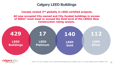# **Calgary LEED Buildings**





### **Canada ranked 2nd globally in LEED-certified projects.**

### **All new occupied City-owned and City-funded buildings in excess of 500m<sup>2</sup> must meet or exceed the Gold level of the LEED® New Construction rating system.**

*Source: The City of Calgary, 2019; Canada Green Building Council (CaGBC), 2021; U.S. Green Building Council (USGBC), 2021*



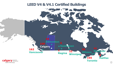

**Toronto**





# **Calgary Vancouver**



**165 162 Montreal 162 162 162 162 162 162 162 162 162 162 162 162 162 162 162 162 162 162 162 162 162 162 162 162 162 162 162 162 162 162 162 162 162 162 Edmonton Ottawa Saskatoon 1 Regina 22 Winnipeg 8 Halifax**

# **LEED V4 & V4.1 Certified Buildings**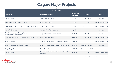### **Calgary Major Projects**  $\bullet\bullet\bullet$



| <b>July 2021</b>                                                            |                                                      |                                    |                        |                           |  |
|-----------------------------------------------------------------------------|------------------------------------------------------|------------------------------------|------------------------|---------------------------|--|
| <b>Developer</b>                                                            | <b>Project Description</b>                           | <b>Project Cost</b><br>\$ Millions | Timing                 | <b>Status</b>             |  |
| City of Calgary                                                             | Green Line LRT, Stage 1                              | \$5,500.0                          | $2021 - 2026$          | Proposed                  |  |
| WAM Development Group / AIMCo                                               | <b>StoneGate Landing</b>                             | \$3,000.0                          | $2010 - 2021$          | <b>Under Construction</b> |  |
| Government of Alberta / Alberta Cancer Foundation                           | <b>Calgary Cancer Centre</b>                         | \$1,420.0                          | $2017 - 2023$          | <b>Under Construction</b> |  |
| Maple Projects Inc.                                                         | <b>Highland Park Redevelopment</b>                   | \$1,000.0                          |                        | Proposed                  |  |
| The City of Calgary, Calgary Sports and<br><b>Entertainment Corporation</b> | Calgary Arena and Events Centre                      | \$608.0                            | $2021 - 2024$          | Proposed                  |  |
| Calgary Stampede and Calgary Municipal Land Corp.                           | <b>BMO Centre Expansion</b>                          | \$500.0                            | $2021 - 2024$          | <b>Under Construction</b> |  |
| <b>ATCO Pipelines</b>                                                       | Calgary Urban Pipeline Replacement Project           | \$450.0                            | $2017 - 2022$          | <b>Under Construction</b> |  |
| Calgary Municipal Land Corp. (CMLC)                                         | Calgary Arts Commons Transformation Project          | \$444.0                            | <b>Commencing 2024</b> | Proposed                  |  |
| <b>Shape Properties</b>                                                     | West Mixed Use Development                           | \$400.0                            | <b>Commencing 2021</b> | Proposed                  |  |
| City of Calgary                                                             | Bonnybrook Wastewater Treatment Plant D<br>Expansion | \$400.0                            | $2017 - 2022$          | <b>Under Construction</b> |  |



*Source: Alberta Major Projects, Government of Alberta*

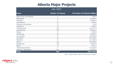# **Alberta Major Projects**

| JUIY ZUZI               |                           |                                            |  |  |
|-------------------------|---------------------------|--------------------------------------------|--|--|
| Sector                  | <b>Number of Projects</b> | <b>Total Value of Projects \$ Millions</b> |  |  |
| Agriculture and Related | 3                         | \$80.9                                     |  |  |
| Bioproduct              | 5                         | \$1,682.6                                  |  |  |
| Chemical                | 4                         | \$8,800.0                                  |  |  |
| Commercial              | 34                        | \$764.6                                    |  |  |
| Forestry and Related    |                           | \$0.0\$                                    |  |  |
| Industrial              | 19                        | \$593.0                                    |  |  |
| Infrastructure          | 126                       | \$31,237.4                                 |  |  |
| Institutional           | 149                       | \$9,261.0                                  |  |  |
| <b>Metals</b>           |                           | \$700.0                                    |  |  |
| Mixed-Use               | 29                        | \$9,962.4                                  |  |  |
| Oil and Gas             | 17                        | \$15,555.0                                 |  |  |
| Oil Sands               | 12                        | \$17,955.0                                 |  |  |
| Pipelines               | 9                         | \$17,496.9                                 |  |  |
| Power                   | 62                        | \$14,828.6                                 |  |  |
| Residential             | 118                       | \$5,891.8                                  |  |  |
| Retail                  | 17                        | \$371.3                                    |  |  |
| Telecommunication       | $\overline{\phantom{a}}$  | \$17,256.9                                 |  |  |
| Tourism / Recreation    | 80                        | \$4,939.1                                  |  |  |
| Total                   | 693                       | \$157,376.5                                |  |  |



### July 2021

*Source: Alberta Major Projects, Government of Alberta*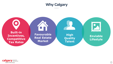

### **High Quality Talent**

**Built-in Incentives, Competitive Tax Rates**

 $\overline{\phantom{a}}$ 

**Favourable Real Estate Market**





**Enviable Lifestyle**